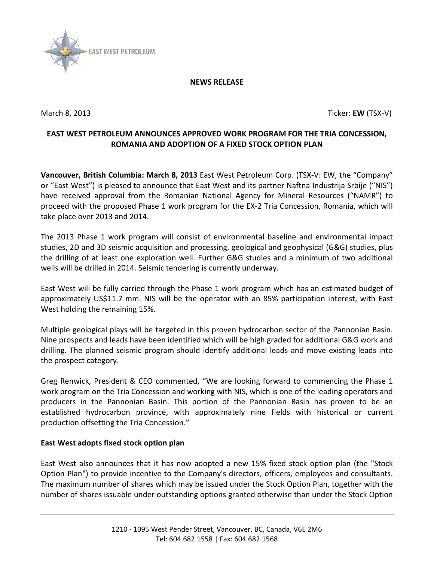

### **NEWS RELEASE**

March 8, 2013 Ticker: **EW** (TSX-V)

# **EAST WEST PETROLEUM ANNOUNCES APPROVED WORK PROGRAM FOR THE TRIA CONCESSION, ROMANIA AND ADOPTION OF A FIXED STOCK OPTION PLAN**

**Vancouver, British Columbia: March 8, 2013** East West Petroleum Corp. (TSX-V: EW, the "Company" or "East West") is pleased to announce that East West and its partner Naftna Industrija Srbije ("NIS") have received approval from the Romanian National Agency for Mineral Resources ("NAMR") to proceed with the proposed Phase 1 work program for the EX-2 Tria Concession, Romania, which will take place over 2013 and 2014.

The 2013 Phase 1 work program will consist of environmental baseline and environmental impact studies, 2D and 3D seismic acquisition and processing, geological and geophysical (G&G) studies, plus the drilling of at least one exploration well. Further G&G studies and a minimum of two additional wells will be drilled in 2014. Seismic tendering is currently underway.

East West will be fully carried through the Phase 1 work program which has an estimated budget of approximately US\$11.7 mm. NIS will be the operator with an 85% participation interest, with East West holding the remaining 15%.

Multiple geological plays will be targeted in this proven hydrocarbon sector of the Pannonian Basin. Nine prospects and leads have been identified which will be high graded for additional G&G work and drilling. The planned seismic program should identify additional leads and move existing leads into the prospect category.

Greg Renwick, President & CEO commented, "We are looking forward to commencing the Phase 1 work program on the Tria Concession and working with NIS, which is one of the leading operators and producers in the Pannonian Basin. This portion of the Pannonian Basin has proven to be an established hydrocarbon province, with approximately nine fields with historical or current production offsetting the Tria Concession."

## **East West adopts fixed stock option plan**

East West also announces that it has now adopted a new 15% fixed stock option plan (the "Stock Option Plan") to provide incentive to the Company's directors, officers, employees and consultants. The maximum number of shares which may be issued under the Stock Option Plan, together with the number of shares issuable under outstanding options granted otherwise than under the Stock Option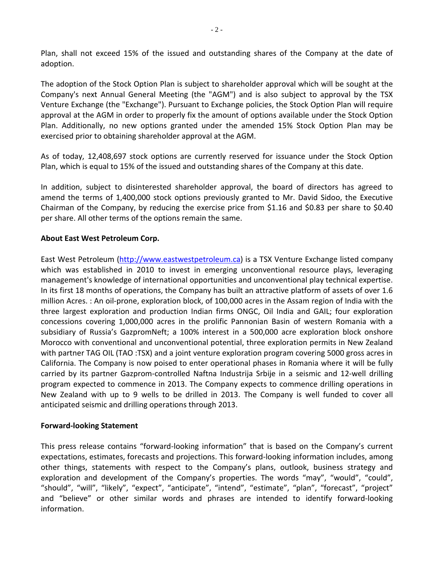Plan, shall not exceed 15% of the issued and outstanding shares of the Company at the date of adoption.

The adoption of the Stock Option Plan is subject to shareholder approval which will be sought at the Company's next Annual General Meeting (the "AGM") and is also subject to approval by the TSX Venture Exchange (the "Exchange"). Pursuant to Exchange policies, the Stock Option Plan will require approval at the AGM in order to properly fix the amount of options available under the Stock Option Plan. Additionally, no new options granted under the amended 15% Stock Option Plan may be exercised prior to obtaining shareholder approval at the AGM.

As of today, 12,408,697 stock options are currently reserved for issuance under the Stock Option Plan, which is equal to 15% of the issued and outstanding shares of the Company at this date.

In addition, subject to disinterested shareholder approval, the board of directors has agreed to amend the terms of 1,400,000 stock options previously granted to Mr. David Sidoo, the Executive Chairman of the Company, by reducing the exercise price from \$1.16 and \$0.83 per share to \$0.40 per share. All other terms of the options remain the same.

# **About East West Petroleum Corp.**

East West Petroleum [\(http://www.eastwestpetroleum.ca\)](http://www.eastwestpetroleum.ca/) is a TSX Venture Exchange listed company which was established in 2010 to invest in emerging unconventional resource plays, leveraging management's knowledge of international opportunities and unconventional play technical expertise. In its first 18 months of operations, the Company has built an attractive platform of assets of over 1.6 million Acres. : An oil-prone, exploration block, of 100,000 acres in the Assam region of India with the three largest exploration and production Indian firms ONGC, Oil India and GAIL; four exploration concessions covering 1,000,000 acres in the prolific Pannonian Basin of western Romania with a subsidiary of Russia's GazpromNeft; a 100% interest in a 500,000 acre exploration block onshore Morocco with conventional and unconventional potential, three exploration permits in New Zealand with partner TAG OIL (TAO :TSX) and a joint venture exploration program covering 5000 gross acres in California. The Company is now poised to enter operational phases in Romania where it will be fully carried by its partner Gazprom-controlled Naftna Industrija Srbije in a seismic and 12-well drilling program expected to commence in 2013. The Company expects to commence drilling operations in New Zealand with up to 9 wells to be drilled in 2013. The Company is well funded to cover all anticipated seismic and drilling operations through 2013.

## **Forward-looking Statement**

This press release contains "forward-looking information" that is based on the Company's current expectations, estimates, forecasts and projections. This forward-looking information includes, among other things, statements with respect to the Company's plans, outlook, business strategy and exploration and development of the Company's properties. The words "may", "would", "could", "should", "will", "likely", "expect", "anticipate", "intend", "estimate", "plan", "forecast", "project" and "believe" or other similar words and phrases are intended to identify forward-looking information.